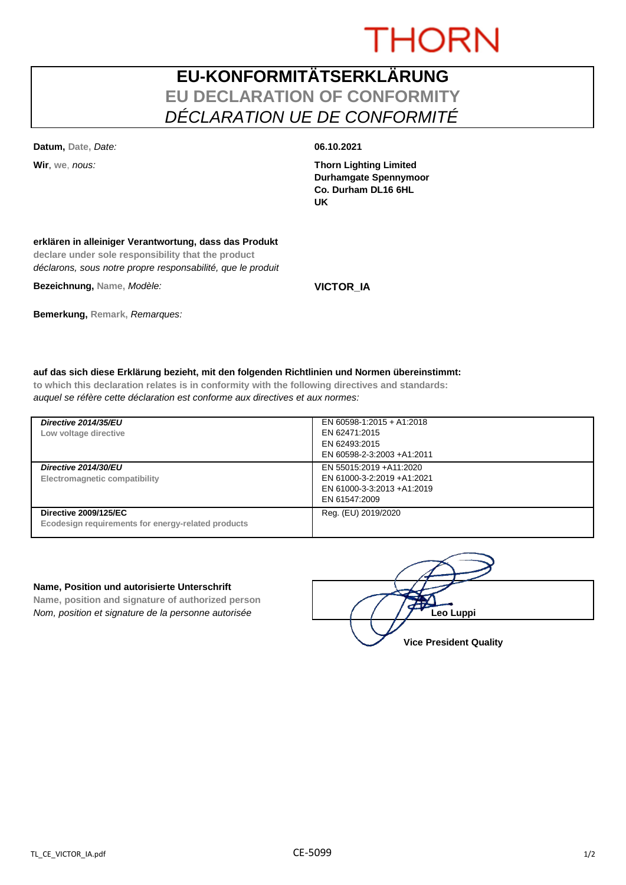# **THORN**

## **EU-KONFORMITÄTSERKLÄRUNG EU DECLARATION OF CONFORMITY** *DÉCLARATION UE DE CONFORMITÉ*

**Datum, Date,** *Date:* **06.10.2021**

**Wir**, **we**, *nous:* **Thorn Lighting Limited Durhamgate Spennymoor Co. Durham DL16 6HL UK**

### **erklären in alleiniger Verantwortung, dass das Produkt**

**declare under sole responsibility that the product** *déclarons, sous notre propre responsabilité, que le produit*

**Bezeichnung, Name,** *Modèle:* **VICTOR\_IA**

### **Bemerkung, Remark,** *Remarques:*

### **auf das sich diese Erklärung bezieht, mit den folgenden Richtlinien und Normen übereinstimmt:**

**to which this declaration relates is in conformity with the following directives and standards:** *auquel se réfère cette déclaration est conforme aux directives et aux normes:*

| Directive 2014/35/EU<br>Low voltage directive                                      | EN 60598-1:2015 + A1:2018<br>EN 62471:2015<br>EN 62493:2015<br>EN 60598-2-3:2003 +A1:2011             |
|------------------------------------------------------------------------------------|-------------------------------------------------------------------------------------------------------|
| Directive 2014/30/EU<br>Electromagnetic compatibility                              | EN 55015:2019 + A11:2020<br>EN 61000-3-2:2019 +A1:2021<br>EN 61000-3-3:2013 +A1:2019<br>EN 61547:2009 |
| <b>Directive 2009/125/EC</b><br>Ecodesign requirements for energy-related products | Reg. (EU) 2019/2020                                                                                   |

### **Name, Position und autorisierte Unterschrift**

**Name, position and signature of authorized person** *Nom, position et signature de la personne autorisée*  $\left( \begin{array}{cc} \end{array} \right)$   $\left( \begin{array}{cc} \end{array} \right)$  **Leo Luppi** 

**Vice President Quality**